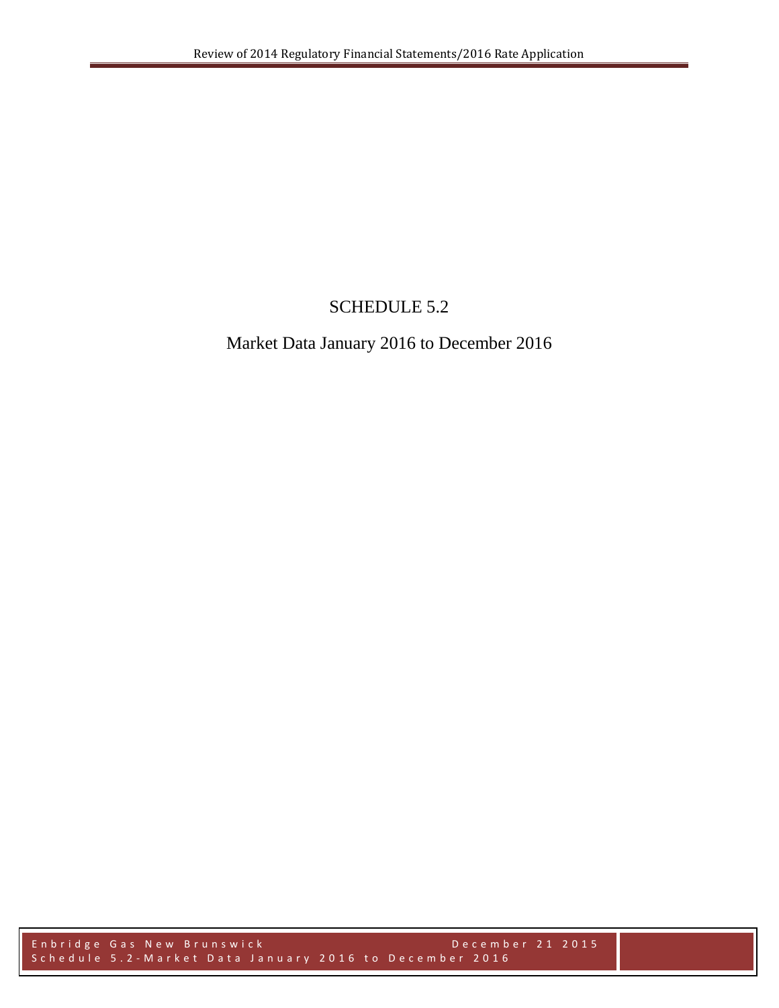## SCHEDULE 5.2

## Market Data January 2016 to December 2016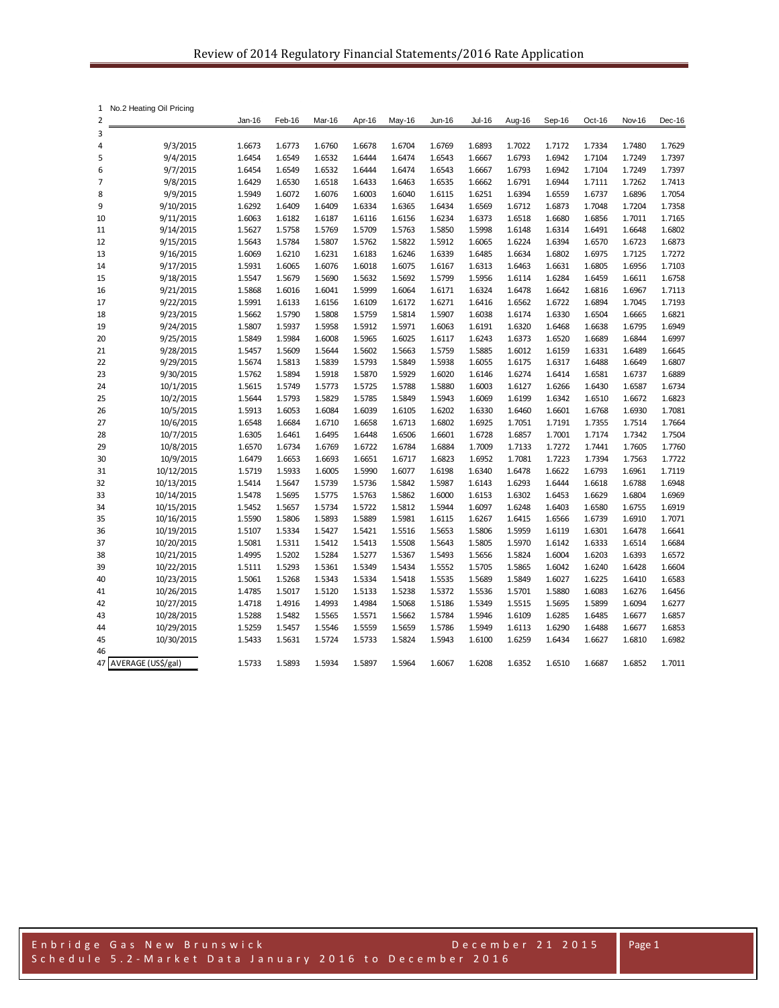| 1              | No.2 Heating Oil Pricing |                  |                  |                  |                  |                  |                  |                  |                  |                  |                  |                  |                  |
|----------------|--------------------------|------------------|------------------|------------------|------------------|------------------|------------------|------------------|------------------|------------------|------------------|------------------|------------------|
| $\overline{2}$ |                          | Jan-16           | Feb-16           | Mar-16           | Apr-16           | May-16           | Jun-16           | <b>Jul-16</b>    | Aug-16           | Sep-16           | Oct-16           | Nov-16           | Dec-16           |
| 3              |                          |                  |                  |                  |                  |                  |                  |                  |                  |                  |                  |                  |                  |
| 4              | 9/3/2015                 | 1.6673           | 1.6773           | 1.6760           | 1.6678           | 1.6704           | 1.6769           | 1.6893           | 1.7022           | 1.7172           | 1.7334           | 1.7480           | 1.7629           |
| 5              | 9/4/2015                 | 1.6454           | 1.6549           | 1.6532           | 1.6444           | 1.6474           | 1.6543           | 1.6667           | 1.6793           | 1.6942           | 1.7104           | 1.7249           | 1.7397           |
| 6              | 9/7/2015                 | 1.6454           | 1.6549           | 1.6532           | 1.6444           | 1.6474           | 1.6543           | 1.6667           | 1.6793           | 1.6942           | 1.7104           | 1.7249           | 1.7397           |
| 7<br>8         | 9/8/2015<br>9/9/2015     | 1.6429<br>1.5949 | 1.6530<br>1.6072 | 1.6518<br>1.6076 | 1.6433<br>1.6003 | 1.6463           | 1.6535           | 1.6662           | 1.6791<br>1.6394 | 1.6944<br>1.6559 | 1.7111           | 1.7262<br>1.6896 | 1.7413<br>1.7054 |
| 9              | 9/10/2015                | 1.6292           | 1.6409           | 1.6409           | 1.6334           | 1.6040<br>1.6365 | 1.6115<br>1.6434 | 1.6251<br>1.6569 | 1.6712           | 1.6873           | 1.6737<br>1.7048 | 1.7204           | 1.7358           |
| 10             | 9/11/2015                | 1.6063           | 1.6182           | 1.6187           | 1.6116           | 1.6156           | 1.6234           | 1.6373           | 1.6518           | 1.6680           | 1.6856           | 1.7011           | 1.7165           |
| 11             | 9/14/2015                | 1.5627           | 1.5758           | 1.5769           | 1.5709           | 1.5763           | 1.5850           | 1.5998           | 1.6148           | 1.6314           | 1.6491           | 1.6648           | 1.6802           |
| 12             | 9/15/2015                | 1.5643           | 1.5784           | 1.5807           | 1.5762           | 1.5822           | 1.5912           | 1.6065           | 1.6224           | 1.6394           | 1.6570           | 1.6723           | 1.6873           |
| 13             | 9/16/2015                | 1.6069           | 1.6210           | 1.6231           | 1.6183           | 1.6246           | 1.6339           | 1.6485           | 1.6634           | 1.6802           | 1.6975           | 1.7125           | 1.7272           |
| 14             | 9/17/2015                | 1.5931           | 1.6065           | 1.6076           | 1.6018           | 1.6075           | 1.6167           | 1.6313           | 1.6463           | 1.6631           | 1.6805           | 1.6956           | 1.7103           |
| 15             | 9/18/2015                | 1.5547           | 1.5679           | 1.5690           | 1.5632           | 1.5692           | 1.5799           | 1.5956           | 1.6114           | 1.6284           | 1.6459           | 1.6611           | 1.6758           |
| 16             | 9/21/2015                | 1.5868           | 1.6016           | 1.6041           | 1.5999           | 1.6064           | 1.6171           | 1.6324           | 1.6478           | 1.6642           | 1.6816           | 1.6967           | 1.7113           |
| 17             | 9/22/2015                | 1.5991           | 1.6133           | 1.6156           | 1.6109           | 1.6172           | 1.6271           | 1.6416           | 1.6562           | 1.6722           | 1.6894           | 1.7045           | 1.7193           |
| 18             | 9/23/2015                | 1.5662           | 1.5790           | 1.5808           | 1.5759           | 1.5814           | 1.5907           | 1.6038           | 1.6174           | 1.6330           | 1.6504           | 1.6665           | 1.6821           |
| 19             | 9/24/2015                | 1.5807           | 1.5937           | 1.5958           | 1.5912           | 1.5971           | 1.6063           | 1.6191           | 1.6320           | 1.6468           | 1.6638           | 1.6795           | 1.6949           |
| 20             | 9/25/2015                | 1.5849           | 1.5984           | 1.6008           | 1.5965           | 1.6025           | 1.6117           | 1.6243           | 1.6373           | 1.6520           | 1.6689           | 1.6844           | 1.6997           |
| 21             | 9/28/2015                | 1.5457           | 1.5609           | 1.5644           | 1.5602           | 1.5663           | 1.5759           | 1.5885           | 1.6012           | 1.6159           | 1.6331           | 1.6489           | 1.6645           |
| 22             | 9/29/2015                | 1.5674           | 1.5813           | 1.5839           | 1.5793           | 1.5849           | 1.5938           | 1.6055           | 1.6175           | 1.6317           | 1.6488           | 1.6649           | 1.6807           |
| 23             | 9/30/2015                | 1.5762           | 1.5894           | 1.5918           | 1.5870           | 1.5929           | 1.6020           | 1.6146           | 1.6274           | 1.6414           | 1.6581           | 1.6737           | 1.6889           |
| 24             | 10/1/2015                | 1.5615           | 1.5749           | 1.5773           | 1.5725           | 1.5788           | 1.5880           | 1.6003           | 1.6127           | 1.6266           | 1.6430           | 1.6587           | 1.6734           |
| 25             | 10/2/2015                | 1.5644           | 1.5793           | 1.5829           | 1.5785           | 1.5849           | 1.5943           | 1.6069           | 1.6199           | 1.6342           | 1.6510           | 1.6672           | 1.6823           |
| 26             | 10/5/2015                | 1.5913           | 1.6053           | 1.6084           | 1.6039           | 1.6105           | 1.6202           | 1.6330           | 1.6460           | 1.6601           | 1.6768           | 1.6930           | 1.7081           |
| 27             | 10/6/2015                | 1.6548<br>1.6305 | 1.6684<br>1.6461 | 1.6710           | 1.6658           | 1.6713           | 1.6802<br>1.6601 | 1.6925           | 1.7051           | 1.7191           | 1.7355<br>1.7174 | 1.7514<br>1.7342 | 1.7664           |
| 28<br>29       | 10/7/2015<br>10/8/2015   | 1.6570           | 1.6734           | 1.6495<br>1.6769 | 1.6448<br>1.6722 | 1.6506<br>1.6784 | 1.6884           | 1.6728<br>1.7009 | 1.6857<br>1.7133 | 1.7001<br>1.7272 | 1.7441           | 1.7605           | 1.7504<br>1.7760 |
| 30             | 10/9/2015                | 1.6479           | 1.6653           | 1.6693           | 1.6651           | 1.6717           | 1.6823           | 1.6952           | 1.7081           | 1.7223           | 1.7394           | 1.7563           | 1.7722           |
| 31             | 10/12/2015               | 1.5719           | 1.5933           | 1.6005           | 1.5990           | 1.6077           | 1.6198           | 1.6340           | 1.6478           | 1.6622           | 1.6793           | 1.6961           | 1.7119           |
| 32             | 10/13/2015               | 1.5414           | 1.5647           | 1.5739           | 1.5736           | 1.5842           | 1.5987           | 1.6143           | 1.6293           | 1.6444           | 1.6618           | 1.6788           | 1.6948           |
| 33             | 10/14/2015               | 1.5478           | 1.5695           | 1.5775           | 1.5763           | 1.5862           | 1.6000           | 1.6153           | 1.6302           | 1.6453           | 1.6629           | 1.6804           | 1.6969           |
| 34             | 10/15/2015               | 1.5452           | 1.5657           | 1.5734           | 1.5722           | 1.5812           | 1.5944           | 1.6097           | 1.6248           | 1.6403           | 1.6580           | 1.6755           | 1.6919           |
| 35             | 10/16/2015               | 1.5590           | 1.5806           | 1.5893           | 1.5889           | 1.5981           | 1.6115           | 1.6267           | 1.6415           | 1.6566           | 1.6739           | 1.6910           | 1.7071           |
| 36             | 10/19/2015               | 1.5107           | 1.5334           | 1.5427           | 1.5421           | 1.5516           | 1.5653           | 1.5806           | 1.5959           | 1.6119           | 1.6301           | 1.6478           | 1.6641           |
| 37             | 10/20/2015               | 1.5081           | 1.5311           | 1.5412           | 1.5413           | 1.5508           | 1.5643           | 1.5805           | 1.5970           | 1.6142           | 1.6333           | 1.6514           | 1.6684           |
| 38             | 10/21/2015               | 1.4995           | 1.5202           | 1.5284           | 1.5277           | 1.5367           | 1.5493           | 1.5656           | 1.5824           | 1.6004           | 1.6203           | 1.6393           | 1.6572           |
| 39             | 10/22/2015               | 1.5111           | 1.5293           | 1.5361           | 1.5349           | 1.5434           | 1.5552           | 1.5705           | 1.5865           | 1.6042           | 1.6240           | 1.6428           | 1.6604           |
| 40             | 10/23/2015               | 1.5061           | 1.5268           | 1.5343           | 1.5334           | 1.5418           | 1.5535           | 1.5689           | 1.5849           | 1.6027           | 1.6225           | 1.6410           | 1.6583           |
| 41             | 10/26/2015               | 1.4785           | 1.5017           | 1.5120           | 1.5133           | 1.5238           | 1.5372           | 1.5536           | 1.5701           | 1.5880           | 1.6083           | 1.6276           | 1.6456           |
| 42             | 10/27/2015               | 1.4718           | 1.4916           | 1.4993           | 1.4984           | 1.5068           | 1.5186           | 1.5349           | 1.5515           | 1.5695           | 1.5899           | 1.6094           | 1.6277           |
| 43             | 10/28/2015               | 1.5288           | 1.5482           | 1.5565           | 1.5571           | 1.5662           | 1.5784           | 1.5946           | 1.6109           | 1.6285           | 1.6485           | 1.6677           | 1.6857           |
| 44             | 10/29/2015               | 1.5259           | 1.5457           | 1.5546           | 1.5559           | 1.5659           | 1.5786           | 1.5949           | 1.6113           | 1.6290           | 1.6488           | 1.6677           | 1.6853           |
| 45             | 10/30/2015               | 1.5433           | 1.5631           | 1.5724           | 1.5733           | 1.5824           | 1.5943           | 1.6100           | 1.6259           | 1.6434           | 1.6627           | 1.6810           | 1.6982           |
| 46<br>47       | AVERAGE (US\$/gal)       | 1.5733           | 1.5893           | 1.5934           | 1.5897           | 1.5964           | 1.6067           | 1.6208           | 1.6352           | 1.6510           | 1.6687           | 1.6852           | 1.7011           |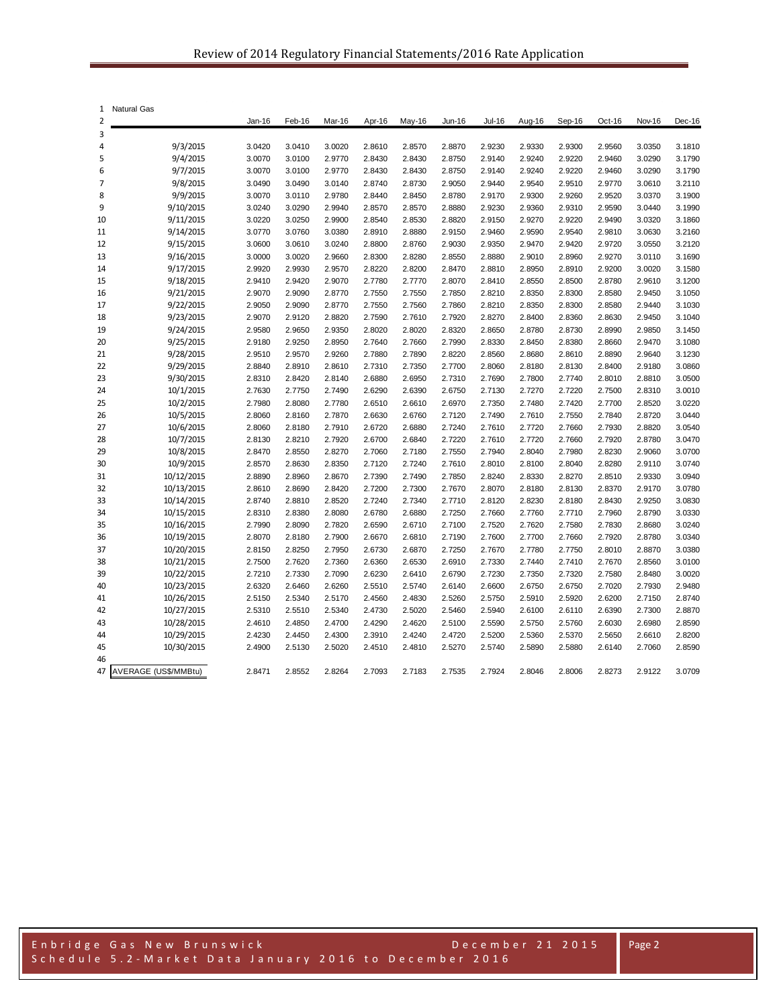| 1              | <b>Natural Gas</b>       |                  |                  |                  |                  |                  |                  |                  |                  |                  |                  |                  |                  |
|----------------|--------------------------|------------------|------------------|------------------|------------------|------------------|------------------|------------------|------------------|------------------|------------------|------------------|------------------|
| $\overline{2}$ |                          | Jan-16           | Feb-16           | Mar-16           | Apr-16           | May-16           | Jun-16           | <b>Jul-16</b>    | Aug-16           | Sep-16           | Oct-16           | Nov-16           | Dec-16           |
| 3              |                          |                  |                  |                  |                  |                  |                  |                  |                  |                  |                  |                  |                  |
| 4              | 9/3/2015                 | 3.0420           | 3.0410           | 3.0020           | 2.8610           | 2.8570           | 2.8870           | 2.9230           | 2.9330           | 2.9300           | 2.9560           | 3.0350           | 3.1810           |
| 5              | 9/4/2015                 | 3.0070           | 3.0100           | 2.9770           | 2.8430           | 2.8430           | 2.8750           | 2.9140           | 2.9240           | 2.9220           | 2.9460           | 3.0290           | 3.1790           |
| 6              | 9/7/2015                 | 3.0070           | 3.0100           | 2.9770           | 2.8430           | 2.8430           | 2.8750           | 2.9140           | 2.9240           | 2.9220           | 2.9460           | 3.0290           | 3.1790           |
| 7              | 9/8/2015                 | 3.0490           | 3.0490           | 3.0140           | 2.8740           | 2.8730           | 2.9050           | 2.9440           | 2.9540           | 2.9510           | 2.9770           | 3.0610           | 3.2110           |
| 8              | 9/9/2015                 | 3.0070           | 3.0110           | 2.9780           | 2.8440           | 2.8450           | 2.8780           | 2.9170           | 2.9300           | 2.9260           | 2.9520           | 3.0370           | 3.1900           |
| 9              | 9/10/2015                | 3.0240           | 3.0290           | 2.9940           | 2.8570           | 2.8570           | 2.8880           | 2.9230           | 2.9360           | 2.9310           | 2.9590           | 3.0440           | 3.1990           |
| 10             | 9/11/2015                | 3.0220           | 3.0250           | 2.9900           | 2.8540           | 2.8530           | 2.8820           | 2.9150           | 2.9270           | 2.9220           | 2.9490           | 3.0320           | 3.1860           |
| 11             | 9/14/2015                | 3.0770           | 3.0760           | 3.0380           | 2.8910           | 2.8880           | 2.9150           | 2.9460           | 2.9590           | 2.9540           | 2.9810           | 3.0630           | 3.2160           |
| 12             | 9/15/2015                | 3.0600           | 3.0610           | 3.0240           | 2.8800           | 2.8760           | 2.9030           | 2.9350           | 2.9470           | 2.9420           | 2.9720           | 3.0550           | 3.2120           |
| 13             | 9/16/2015                | 3.0000           | 3.0020           | 2.9660           | 2.8300           | 2.8280           | 2.8550           | 2.8880           | 2.9010           | 2.8960           | 2.9270           | 3.0110           | 3.1690           |
| 14             | 9/17/2015                | 2.9920           | 2.9930           | 2.9570           | 2.8220           | 2.8200           | 2.8470           | 2.8810           | 2.8950           | 2.8910           | 2.9200           | 3.0020           | 3.1580           |
| 15             | 9/18/2015                | 2.9410           | 2.9420           | 2.9070           | 2.7780           | 2.7770           | 2.8070           | 2.8410           | 2.8550           | 2.8500           | 2.8780           | 2.9610           | 3.1200           |
| 16             | 9/21/2015                | 2.9070           | 2.9090           | 2.8770           | 2.7550           | 2.7550           | 2.7850           | 2.8210           | 2.8350           | 2.8300           | 2.8580           | 2.9450           | 3.1050           |
| 17             | 9/22/2015                | 2.9050           | 2.9090           | 2.8770           | 2.7550           | 2.7560           | 2.7860           | 2.8210           | 2.8350           | 2.8300           | 2.8580           | 2.9440           | 3.1030           |
| 18             | 9/23/2015                | 2.9070           | 2.9120           | 2.8820           | 2.7590           | 2.7610           | 2.7920           | 2.8270           | 2.8400           | 2.8360           | 2.8630           | 2.9450           | 3.1040           |
| 19             | 9/24/2015                | 2.9580           | 2.9650           | 2.9350           | 2.8020           | 2.8020           | 2.8320           | 2.8650           | 2.8780           | 2.8730           | 2.8990           | 2.9850           | 3.1450           |
| 20             | 9/25/2015                | 2.9180           | 2.9250           | 2.8950           | 2.7640           | 2.7660           | 2.7990           | 2.8330           | 2.8450           | 2.8380           | 2.8660           | 2.9470           | 3.1080           |
| 21             | 9/28/2015                | 2.9510           | 2.9570           | 2.9260           | 2.7880           | 2.7890           | 2.8220           | 2.8560           | 2.8680           | 2.8610           | 2.8890           | 2.9640           | 3.1230           |
| 22             | 9/29/2015                | 2.8840           | 2.8910           | 2.8610           | 2.7310           | 2.7350           | 2.7700           | 2.8060           | 2.8180           | 2.8130           | 2.8400           | 2.9180           | 3.0860           |
| 23             | 9/30/2015                | 2.8310           | 2.8420           | 2.8140           | 2.6880           | 2.6950           | 2.7310           | 2.7690           | 2.7800           | 2.7740           | 2.8010           | 2.8810           | 3.0500           |
| 24             | 10/1/2015                | 2.7630           | 2.7750           | 2.7490           | 2.6290           | 2.6390           | 2.6750           | 2.7130           | 2.7270           | 2.7220           | 2.7500           | 2.8310           | 3.0010           |
| 25             | 10/2/2015                | 2.7980           | 2.8080           | 2.7780           | 2.6510           | 2.6610           | 2.6970           | 2.7350           | 2.7480           | 2.7420           | 2.7700           | 2.8520           | 3.0220           |
| 26             | 10/5/2015                | 2.8060           | 2.8160           | 2.7870           | 2.6630           | 2.6760           | 2.7120           | 2.7490           | 2.7610           | 2.7550           | 2.7840           | 2.8720           | 3.0440           |
| 27             | 10/6/2015                | 2.8060           | 2.8180           | 2.7910           | 2.6720           | 2.6880           | 2.7240           | 2.7610           | 2.7720           | 2.7660           | 2.7930           | 2.8820           | 3.0540           |
| 28             | 10/7/2015                | 2.8130           | 2.8210           | 2.7920           | 2.6700           | 2.6840           | 2.7220           | 2.7610           | 2.7720           | 2.7660           | 2.7920           | 2.8780           | 3.0470           |
| 29             | 10/8/2015                | 2.8470           | 2.8550           | 2.8270           | 2.7060           | 2.7180           | 2.7550           | 2.7940           | 2.8040           | 2.7980           | 2.8230           | 2.9060           | 3.0700           |
| 30             | 10/9/2015                | 2.8570           | 2.8630           | 2.8350           | 2.7120           | 2.7240           | 2.7610           | 2.8010           | 2.8100           | 2.8040           | 2.8280           | 2.9110           | 3.0740           |
| 31             | 10/12/2015               | 2.8890           | 2.8960           | 2.8670           | 2.7390           | 2.7490           | 2.7850           | 2.8240           | 2.8330           | 2.8270           | 2.8510           | 2.9330           | 3.0940           |
| 32             | 10/13/2015               | 2.8610           | 2.8690           | 2.8420           | 2.7200           | 2.7300           | 2.7670           | 2.8070           | 2.8180           | 2.8130           | 2.8370           | 2.9170           | 3.0780           |
| 33             | 10/14/2015               | 2.8740           | 2.8810           | 2.8520           | 2.7240           | 2.7340           | 2.7710           | 2.8120           | 2.8230           | 2.8180           | 2.8430           | 2.9250           | 3.0830           |
| 34             | 10/15/2015               | 2.8310           | 2.8380           | 2.8080           | 2.6780           | 2.6880           | 2.7250           | 2.7660           | 2.7760           | 2.7710           | 2.7960           | 2.8790           | 3.0330<br>3.0240 |
| 35             | 10/16/2015               | 2.7990           | 2.8090           | 2.7820           | 2.6590           | 2.6710           | 2.7100           | 2.7520           | 2.7620           | 2.7580           | 2.7830           | 2.8680           |                  |
| 36<br>37       | 10/19/2015               | 2.8070           | 2.8180           | 2.7900<br>2.7950 | 2.6670           | 2.6810<br>2.6870 | 2.7190<br>2.7250 | 2.7600<br>2.7670 | 2.7700           | 2.7660           | 2.7920           | 2.8780<br>2.8870 | 3.0340<br>3.0380 |
| 38             | 10/20/2015<br>10/21/2015 | 2.8150<br>2.7500 | 2.8250<br>2.7620 | 2.7360           | 2.6730<br>2.6360 | 2.6530           | 2.6910           | 2.7330           | 2.7780<br>2.7440 | 2.7750<br>2.7410 | 2.8010<br>2.7670 | 2.8560           | 3.0100           |
| 39             | 10/22/2015               | 2.7210           | 2.7330           | 2.7090           | 2.6230           | 2.6410           | 2.6790           | 2.7230           | 2.7350           | 2.7320           | 2.7580           | 2.8480           | 3.0020           |
| 40             | 10/23/2015               | 2.6320           | 2.6460           | 2.6260           | 2.5510           | 2.5740           | 2.6140           | 2.6600           | 2.6750           | 2.6750           | 2.7020           | 2.7930           | 2.9480           |
| 41             | 10/26/2015               | 2.5150           | 2.5340           | 2.5170           | 2.4560           | 2.4830           | 2.5260           | 2.5750           | 2.5910           | 2.5920           | 2.6200           | 2.7150           | 2.8740           |
| 42             | 10/27/2015               | 2.5310           | 2.5510           | 2.5340           | 2.4730           | 2.5020           | 2.5460           | 2.5940           | 2.6100           | 2.6110           | 2.6390           | 2.7300           | 2.8870           |
| 43             | 10/28/2015               | 2.4610           | 2.4850           | 2.4700           | 2.4290           | 2.4620           | 2.5100           | 2.5590           | 2.5750           | 2.5760           | 2.6030           | 2.6980           | 2.8590           |
| 44             | 10/29/2015               | 2.4230           | 2.4450           | 2.4300           | 2.3910           | 2.4240           | 2.4720           | 2.5200           | 2.5360           | 2.5370           | 2.5650           | 2.6610           | 2.8200           |
| 45             | 10/30/2015               | 2.4900           | 2.5130           | 2.5020           | 2.4510           | 2.4810           | 2.5270           | 2.5740           | 2.5890           | 2.5880           | 2.6140           | 2.7060           | 2.8590           |
| 46             |                          |                  |                  |                  |                  |                  |                  |                  |                  |                  |                  |                  |                  |
| 47             | AVERAGE (US\$/MMBtu)     | 2.8471           | 2.8552           | 2.8264           | 2.7093           | 2.7183           | 2.7535           | 2.7924           | 2.8046           | 2.8006           | 2.8273           | 2.9122           | 3.0709           |

Page 2